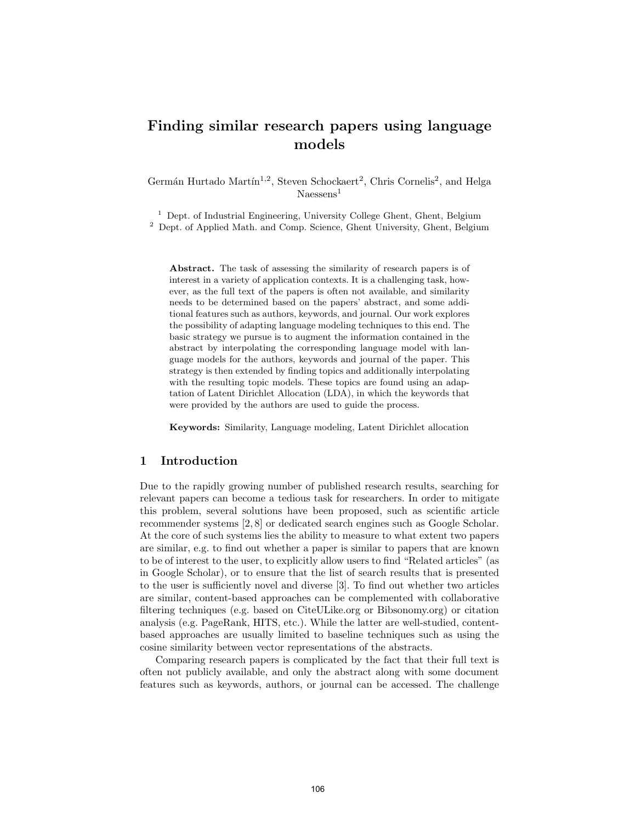# Finding similar research papers using language models

Germán Hurtado Martín<sup>1,2</sup>, Steven Schockaert<sup>2</sup>, Chris Cornelis<sup>2</sup>, and Helga  $N$ aessens<sup>1</sup>

<sup>1</sup> Dept. of Industrial Engineering, University College Ghent, Ghent, Belgium <sup>2</sup> Dept. of Applied Math. and Comp. Science, Ghent University, Ghent, Belgium

Abstract. The task of assessing the similarity of research papers is of interest in a variety of application contexts. It is a challenging task, however, as the full text of the papers is often not available, and similarity needs to be determined based on the papers' abstract, and some additional features such as authors, keywords, and journal. Our work explores the possibility of adapting language modeling techniques to this end. The basic strategy we pursue is to augment the information contained in the abstract by interpolating the corresponding language model with language models for the authors, keywords and journal of the paper. This strategy is then extended by finding topics and additionally interpolating with the resulting topic models. These topics are found using an adaptation of Latent Dirichlet Allocation (LDA), in which the keywords that were provided by the authors are used to guide the process.

Keywords: Similarity, Language modeling, Latent Dirichlet allocation

## 1 Introduction

Due to the rapidly growing number of published research results, searching for relevant papers can become a tedious task for researchers. In order to mitigate this problem, several solutions have been proposed, such as scientific article recommender systems [2, 8] or dedicated search engines such as Google Scholar. At the core of such systems lies the ability to measure to what extent two papers are similar, e.g. to find out whether a paper is similar to papers that are known to be of interest to the user, to explicitly allow users to find "Related articles" (as in Google Scholar), or to ensure that the list of search results that is presented to the user is sufficiently novel and diverse [3]. To find out whether two articles are similar, content-based approaches can be complemented with collaborative filtering techniques (e.g. based on CiteULike.org or Bibsonomy.org) or citation analysis (e.g. PageRank, HITS, etc.). While the latter are well-studied, contentbased approaches are usually limited to baseline techniques such as using the cosine similarity between vector representations of the abstracts.

Comparing research papers is complicated by the fact that their full text is often not publicly available, and only the abstract along with some document features such as keywords, authors, or journal can be accessed. The challenge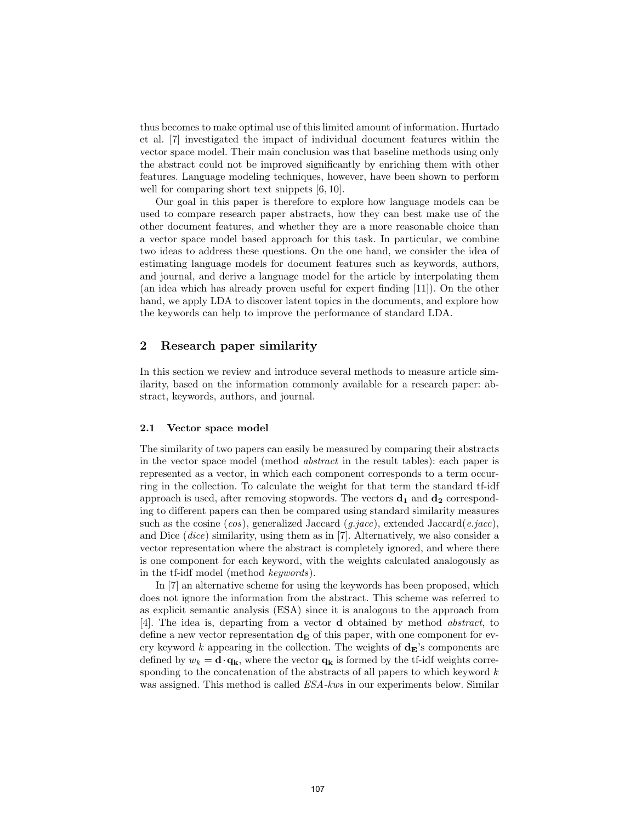thus becomes to make optimal use of this limited amount of information. Hurtado et al. [7] investigated the impact of individual document features within the vector space model. Their main conclusion was that baseline methods using only the abstract could not be improved significantly by enriching them with other features. Language modeling techniques, however, have been shown to perform well for comparing short text snippets [6, 10].

Our goal in this paper is therefore to explore how language models can be used to compare research paper abstracts, how they can best make use of the other document features, and whether they are a more reasonable choice than a vector space model based approach for this task. In particular, we combine two ideas to address these questions. On the one hand, we consider the idea of estimating language models for document features such as keywords, authors, and journal, and derive a language model for the article by interpolating them (an idea which has already proven useful for expert finding [11]). On the other hand, we apply LDA to discover latent topics in the documents, and explore how the keywords can help to improve the performance of standard LDA.

## 2 Research paper similarity

In this section we review and introduce several methods to measure article similarity, based on the information commonly available for a research paper: abstract, keywords, authors, and journal.

#### 2.1 Vector space model

The similarity of two papers can easily be measured by comparing their abstracts in the vector space model (method abstract in the result tables): each paper is represented as a vector, in which each component corresponds to a term occurring in the collection. To calculate the weight for that term the standard tf-idf approach is used, after removing stopwords. The vectors  $\mathbf{d}_1$  and  $\mathbf{d}_2$  corresponding to different papers can then be compared using standard similarity measures such as the cosine (cos), generalized Jaccard (g.jacc), extended Jaccard(e.jacc), and Dice (dice) similarity, using them as in [7]. Alternatively, we also consider a vector representation where the abstract is completely ignored, and where there is one component for each keyword, with the weights calculated analogously as in the tf-idf model (method keywords).

In [7] an alternative scheme for using the keywords has been proposed, which does not ignore the information from the abstract. This scheme was referred to as explicit semantic analysis (ESA) since it is analogous to the approach from [4]. The idea is, departing from a vector d obtained by method abstract, to define a new vector representation  $\mathbf{d}_{\mathbf{E}}$  of this paper, with one component for every keyword k appearing in the collection. The weights of  $d_E$ 's components are defined by  $w_k = \mathbf{d} \cdot \mathbf{q}_k$ , where the vector  $\mathbf{q}_k$  is formed by the tf-idf weights corresponding to the concatenation of the abstracts of all papers to which keyword  $k$ was assigned. This method is called ESA-kws in our experiments below. Similar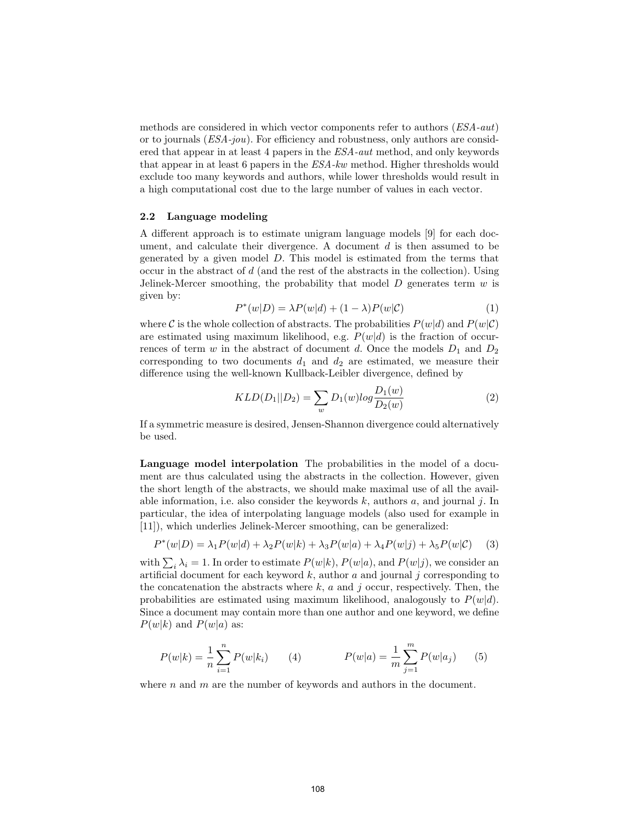methods are considered in which vector components refer to authors (ESA-aut) or to journals  $(ESA-jou)$ . For efficiency and robustness, only authors are considered that appear in at least 4 papers in the ESA-aut method, and only keywords that appear in at least 6 papers in the ESA-kw method. Higher thresholds would exclude too many keywords and authors, while lower thresholds would result in a high computational cost due to the large number of values in each vector.

### 2.2 Language modeling

A different approach is to estimate unigram language models [9] for each document, and calculate their divergence. A document  $d$  is then assumed to be generated by a given model D. This model is estimated from the terms that occur in the abstract of  $d$  (and the rest of the abstracts in the collection). Using Jelinek-Mercer smoothing, the probability that model  $D$  generates term  $w$  is given by:

$$
P^*(w|D) = \lambda P(w|d) + (1 - \lambda)P(w|\mathcal{C})
$$
\n(1)

where C is the whole collection of abstracts. The probabilities  $P(w|d)$  and  $P(w|\mathcal{C})$ are estimated using maximum likelihood, e.g.  $P(w|d)$  is the fraction of occurrences of term w in the abstract of document d. Once the models  $D_1$  and  $D_2$ corresponding to two documents  $d_1$  and  $d_2$  are estimated, we measure their difference using the well-known Kullback-Leibler divergence, defined by

$$
KLD(D_1||D_2) = \sum_{w} D_1(w)log \frac{D_1(w)}{D_2(w)}
$$
\n(2)

If a symmetric measure is desired, Jensen-Shannon divergence could alternatively be used.

Language model interpolation The probabilities in the model of a document are thus calculated using the abstracts in the collection. However, given the short length of the abstracts, we should make maximal use of all the available information, i.e. also consider the keywords  $k$ , authors  $a$ , and journal  $j$ . In particular, the idea of interpolating language models (also used for example in [11]), which underlies Jelinek-Mercer smoothing, can be generalized:

$$
P^*(w|D) = \lambda_1 P(w|d) + \lambda_2 P(w|k) + \lambda_3 P(w|a) + \lambda_4 P(w|j) + \lambda_5 P(w|C)
$$
 (3)

with  $\sum_i \lambda_i = 1$ . In order to estimate  $P(w|k)$ ,  $P(w|a)$ , and  $P(w|j)$ , we consider an artificial document for each keyword  $k$ , author  $a$  and journal  $j$  corresponding to the concatenation the abstracts where  $k$ ,  $a$  and  $j$  occur, respectively. Then, the probabilities are estimated using maximum likelihood, analogously to  $P(w|d)$ . Since a document may contain more than one author and one keyword, we define  $P(w|k)$  and  $P(w|a)$  as:

$$
P(w|k) = \frac{1}{n} \sum_{i=1}^{n} P(w|k_i)
$$
 (4) 
$$
P(w|a) = \frac{1}{m} \sum_{j=1}^{m} P(w|a_j)
$$
 (5)

where  $n$  and  $m$  are the number of keywords and authors in the document.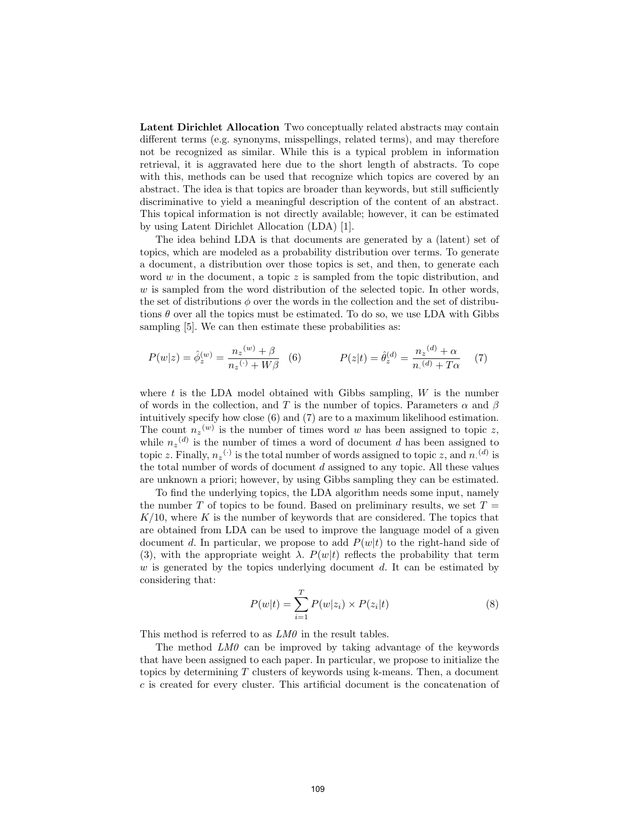Latent Dirichlet Allocation Two conceptually related abstracts may contain different terms (e.g. synonyms, misspellings, related terms), and may therefore not be recognized as similar. While this is a typical problem in information retrieval, it is aggravated here due to the short length of abstracts. To cope with this, methods can be used that recognize which topics are covered by an abstract. The idea is that topics are broader than keywords, but still sufficiently discriminative to yield a meaningful description of the content of an abstract. This topical information is not directly available; however, it can be estimated by using Latent Dirichlet Allocation (LDA) [1].

The idea behind LDA is that documents are generated by a (latent) set of topics, which are modeled as a probability distribution over terms. To generate a document, a distribution over those topics is set, and then, to generate each word w in the document, a topic z is sampled from the topic distribution, and  $w$  is sampled from the word distribution of the selected topic. In other words, the set of distributions  $\phi$  over the words in the collection and the set of distributions  $\theta$  over all the topics must be estimated. To do so, we use LDA with Gibbs sampling [5]. We can then estimate these probabilities as:

$$
P(w|z) = \hat{\phi}_z^{(w)} = \frac{n_z^{(w)} + \beta}{n_z^{(v)} + W\beta} \quad (6) \qquad P(z|t) = \hat{\theta}_z^{(d)} = \frac{n_z^{(d)} + \alpha}{n_z^{(d)} + T\alpha} \quad (7)
$$

where  $t$  is the LDA model obtained with Gibbs sampling,  $W$  is the number of words in the collection, and T is the number of topics. Parameters  $\alpha$  and  $\beta$ intuitively specify how close (6) and (7) are to a maximum likelihood estimation. The count  $n_z^{(w)}$  is the number of times word w has been assigned to topic z, while  $n_z^{(d)}$  is the number of times a word of document d has been assigned to topic z. Finally,  $n_z(\cdot)$  is the total number of words assigned to topic z, and  $n_{\cdot}(d)$  is the total number of words of document  $d$  assigned to any topic. All these values are unknown a priori; however, by using Gibbs sampling they can be estimated.

To find the underlying topics, the LDA algorithm needs some input, namely the number T of topics to be found. Based on preliminary results, we set  $T =$  $K/10$ , where K is the number of keywords that are considered. The topics that are obtained from LDA can be used to improve the language model of a given document d. In particular, we propose to add  $P(w|t)$  to the right-hand side of (3), with the appropriate weight  $\lambda$ .  $P(w|t)$  reflects the probability that term w is generated by the topics underlying document d. It can be estimated by considering that:

$$
P(w|t) = \sum_{i=1}^{T} P(w|z_i) \times P(z_i|t)
$$
\n(8)

This method is referred to as  $LM0$  in the result tables.

The method LM0 can be improved by taking advantage of the keywords that have been assigned to each paper. In particular, we propose to initialize the topics by determining  $T$  clusters of keywords using k-means. Then, a document c is created for every cluster. This artificial document is the concatenation of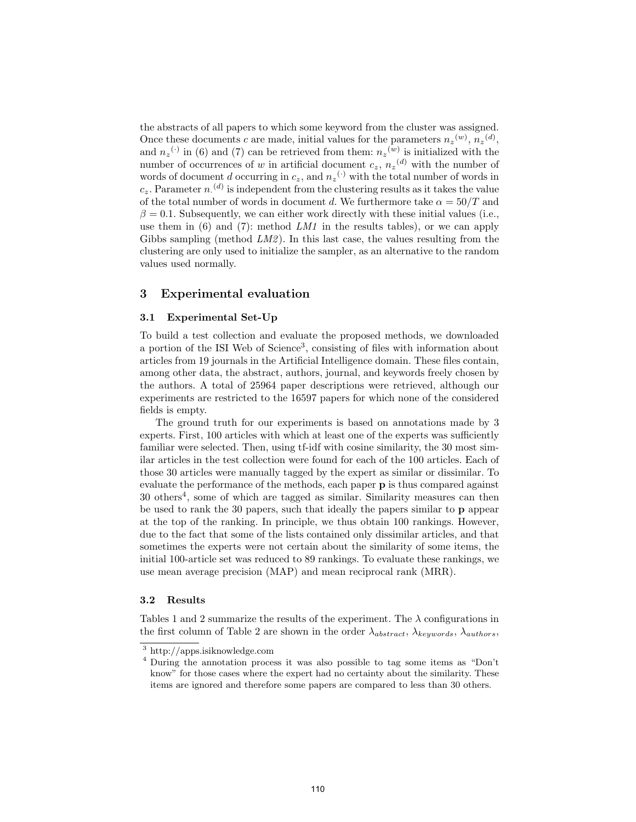the abstracts of all papers to which some keyword from the cluster was assigned. Once these documents c are made, initial values for the parameters  $n_z^{(w)}$ ,  $n_z^{(d)}$ , and  $n_z$ <sup>(.)</sup> in (6) and (7) can be retrieved from them:  $n_z$ <sup>(w)</sup> is initialized with the number of occurrences of w in artificial document  $c_z$ ,  $n_z$ <sup>(d)</sup> with the number of words of document d occurring in  $c_z$ , and  $n_z$ <sup>(.)</sup> with the total number of words in  $c_z$ . Parameter  $n^{(d)}$  is independent from the clustering results as it takes the value of the total number of words in document d. We furthermore take  $\alpha = 50/T$  and  $\beta = 0.1$ . Subsequently, we can either work directly with these initial values (i.e., use them in  $(6)$  and  $(7)$ : method LM1 in the results tables), or we can apply Gibbs sampling (method  $LM2$ ). In this last case, the values resulting from the clustering are only used to initialize the sampler, as an alternative to the random values used normally.

## 3 Experimental evaluation

### 3.1 Experimental Set-Up

To build a test collection and evaluate the proposed methods, we downloaded a portion of the ISI Web of Science<sup>3</sup>, consisting of files with information about articles from 19 journals in the Artificial Intelligence domain. These files contain, among other data, the abstract, authors, journal, and keywords freely chosen by the authors. A total of 25964 paper descriptions were retrieved, although our experiments are restricted to the 16597 papers for which none of the considered fields is empty.

The ground truth for our experiments is based on annotations made by 3 experts. First, 100 articles with which at least one of the experts was sufficiently familiar were selected. Then, using tf-idf with cosine similarity, the 30 most similar articles in the test collection were found for each of the 100 articles. Each of those 30 articles were manually tagged by the expert as similar or dissimilar. To evaluate the performance of the methods, each paper p is thus compared against  $30$  others<sup>4</sup>, some of which are tagged as similar. Similarity measures can then be used to rank the 30 papers, such that ideally the papers similar to p appear at the top of the ranking. In principle, we thus obtain 100 rankings. However, due to the fact that some of the lists contained only dissimilar articles, and that sometimes the experts were not certain about the similarity of some items, the initial 100-article set was reduced to 89 rankings. To evaluate these rankings, we use mean average precision (MAP) and mean reciprocal rank (MRR).

### 3.2 Results

Tables 1 and 2 summarize the results of the experiment. The  $\lambda$  configurations in the first column of Table 2 are shown in the order  $\lambda_{abstract}$ ,  $\lambda_{keywords}$ ,  $\lambda_{authors}$ ,

<sup>3</sup> http://apps.isiknowledge.com

<sup>4</sup> During the annotation process it was also possible to tag some items as "Don't know" for those cases where the expert had no certainty about the similarity. These items are ignored and therefore some papers are compared to less than 30 others.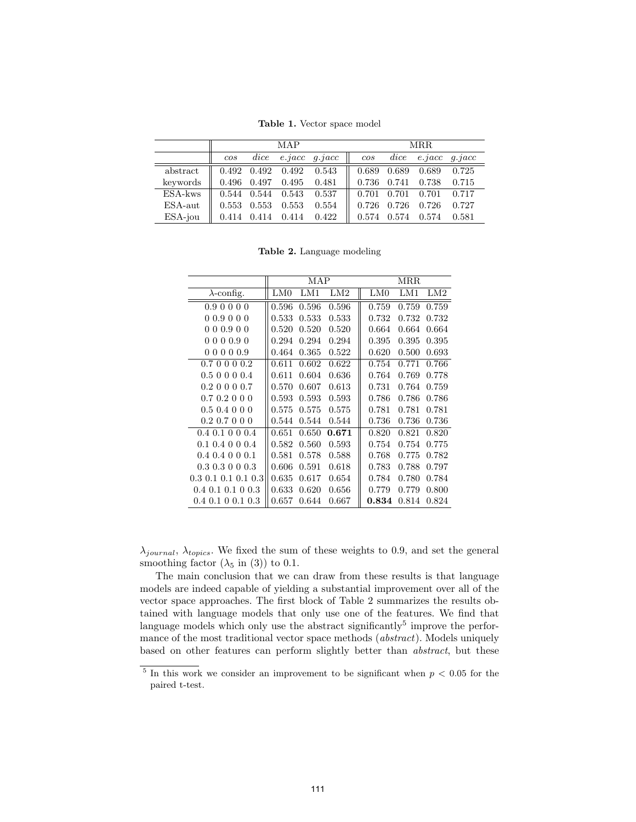Table 1. Vector space model

|            | MAP                                 |      |                                               |                                                           |     | <b>MRR</b> |  |                                     |        |  |
|------------|-------------------------------------|------|-----------------------------------------------|-----------------------------------------------------------|-----|------------|--|-------------------------------------|--------|--|
|            | cos                                 | dice |                                               | $e$ <i>jacc</i> $q$ <i>jacc</i>                           | cos |            |  | $dice$ $e. iacc$                    | q,iacc |  |
| abstract   |                                     |      |                                               | $0.492$ $0.492$ $0.492$ $0.543$ 0.689 $0.689$ 0.689 0.725 |     |            |  |                                     |        |  |
| keywords   |                                     |      | $0.496$ $0.497$ $0.495$ $0.481$               |                                                           |     |            |  | $\parallel$ 0.736 0.741 0.738 0.715 |        |  |
| ESA-kws    |                                     |      | $0.544$ $0.544$ $0.543$ $\overline{0.537}$    |                                                           |     |            |  | $\parallel$ 0.701 0.701 0.701 0.717 |        |  |
| $ESA$ -aut |                                     |      | $0.553 \quad 0.553 \quad 0.553 \quad \ 0.554$ |                                                           | Ш   |            |  | $0.726$ $0.726$ $0.726$ $0.727$     |        |  |
| ESA-jou    | $\parallel$ 0.414 0.414 0.414 0.422 |      |                                               |                                                           | Ш   |            |  | 0.574 0.574 0.574 0.581             |        |  |

Table 2. Language modeling

|                         |       | MAP   |       | <b>MRR</b> |       |                 |  |
|-------------------------|-------|-------|-------|------------|-------|-----------------|--|
| $\lambda$ -config.      | LM0   | LM1   | LM2   | LM0        | LM1   | LM <sub>2</sub> |  |
| 0.9 0 0 0 0             | 0.596 | 0.596 | 0.596 | 0.759      | 0.759 | 0.759           |  |
| 00.9000                 | 0.533 | 0.533 | 0.533 | 0.732      | 0.732 | 0.732           |  |
| 000.900                 | 0.520 | 0.520 | 0.520 | 0.664      | 0.664 | 0.664           |  |
| 000.90<br>$\Omega$      | 0.294 | 0.294 | 0.294 | 0.395      | 0.395 | 0.395           |  |
| 000.9<br>00             | 0.464 | 0.365 | 0.522 | 0.620      | 0.500 | 0.693           |  |
| 0.7000<br>0.2           | 0.611 | 0.602 | 0.622 | 0.754      | 0.771 | 0.766           |  |
| 0.5 0 0 0 0.4           | 0.611 | 0.604 | 0.636 | 0.764      | 0.769 | 0.778           |  |
| $0.2 \ 0 \ 0 \ 0 \ 0.7$ | 0.570 | 0.607 | 0.613 | 0.731      | 0.764 | 0.759           |  |
| 0.7 0.2 0 0 0           | 0.593 | 0.593 | 0.593 | 0.786      | 0.786 | 0.786           |  |
| $0.5\;0.4\;0\;0\;0$     | 0.575 | 0.575 | 0.575 | 0.781      | 0.781 | 0.781           |  |
| $0.2$ 0.7 0 0 0         | 0.544 | 0.544 | 0.544 | 0.736      | 0.736 | 0.736           |  |
| $0.4$ 0.1 0 0 0.4       | 0.651 | 0.650 | 0.671 | 0.820      | 0.821 | 0.820           |  |
| $0.1\;0.4\;0\;0\;0.4$   | 0.582 | 0.560 | 0.593 | 0.754      | 0.754 | 0.775           |  |
| $0.4$ $0.4$ 0 0 $0.1$   | 0.581 | 0.578 | 0.588 | 0.768      | 0.775 | 0.782           |  |
| $0.3\;0.3\;0\;0\;0.3$   | 0.606 | 0.591 | 0.618 | 0.783      | 0.788 | 0.797           |  |
| $0.3$ 0.1 0.1 0.1 0.3   | 0.635 | 0.617 | 0.654 | 0.784      | 0.780 | 0.784           |  |
| $0.4$ 0.1 0.1 0 0.3     | 0.633 | 0.620 | 0.656 | 0.779      | 0.779 | 0.800           |  |
| $0.4$ 0.1 0 0.1 0.3     | 0.657 | 0.644 | 0.667 | 0.834      | 0.814 | 0.824           |  |

 $\lambda_{journal}$ ,  $\lambda_{topics}$ . We fixed the sum of these weights to 0.9, and set the general smoothing factor  $(\lambda_5 \text{ in } (3))$  to 0.1.

The main conclusion that we can draw from these results is that language models are indeed capable of yielding a substantial improvement over all of the vector space approaches. The first block of Table 2 summarizes the results obtained with language models that only use one of the features. We find that language models which only use the abstract significantly<sup>5</sup> improve the performance of the most traditional vector space methods (*abstract*). Models uniquely based on other features can perform slightly better than abstract, but these

<sup>&</sup>lt;sup>5</sup> In this work we consider an improvement to be significant when  $p < 0.05$  for the paired t-test.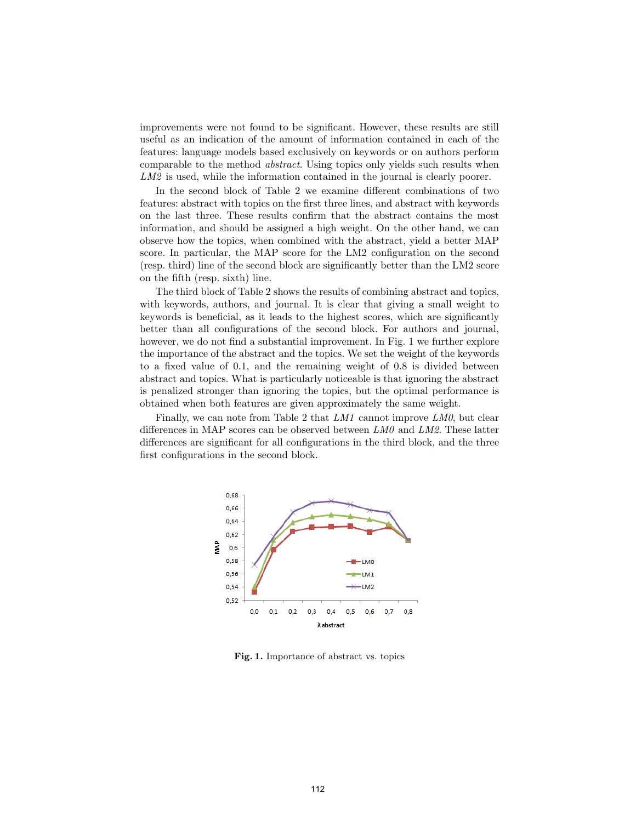improvements were not found to be significant. However, these results are still useful as an indication of the amount of information contained in each of the features: language models based exclusively on keywords or on authors perform comparable to the method abstract. Using topics only yields such results when LM2 is used, while the information contained in the journal is clearly poorer.

In the second block of Table 2 we examine different combinations of two features: abstract with topics on the first three lines, and abstract with keywords on the last three. These results confirm that the abstract contains the most information, and should be assigned a high weight. On the other hand, we can observe how the topics, when combined with the abstract, yield a better MAP score. In particular, the MAP score for the LM2 configuration on the second (resp. third) line of the second block are significantly better than the LM2 score on the fifth (resp. sixth) line.

The third block of Table 2 shows the results of combining abstract and topics, with keywords, authors, and journal. It is clear that giving a small weight to keywords is beneficial, as it leads to the highest scores, which are significantly better than all configurations of the second block. For authors and journal, however, we do not find a substantial improvement. In Fig. 1 we further explore the importance of the abstract and the topics. We set the weight of the keywords to a fixed value of 0.1, and the remaining weight of 0.8 is divided between abstract and topics. What is particularly noticeable is that ignoring the abstract is penalized stronger than ignoring the topics, but the optimal performance is obtained when both features are given approximately the same weight.

Finally, we can note from Table 2 that  $LM1$  cannot improve  $LM0$ , but clear differences in MAP scores can be observed between  $LM0$  and  $LM2$ . These latter differences are significant for all configurations in the third block, and the three first configurations in the second block.



Fig. 1. Importance of abstract vs. topics